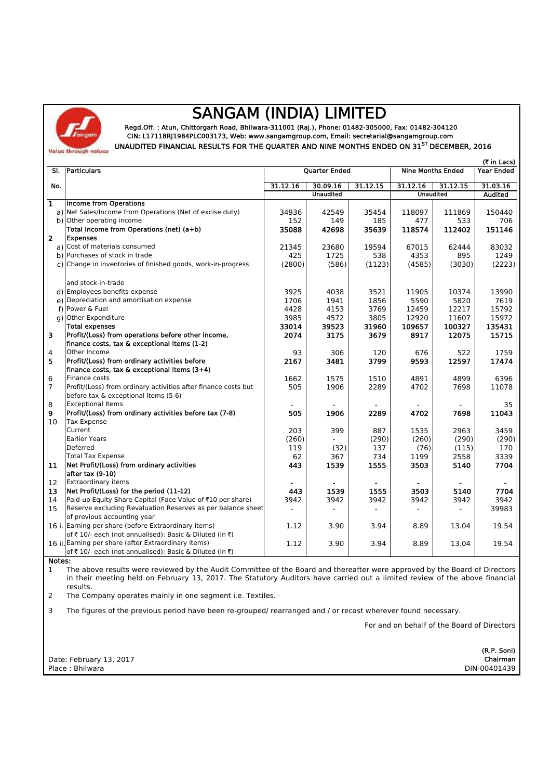

## **SANGAM (INDIA) LIMITED**

**Regd.Off. : Atun, Chittorgarh Road, Bhilwara-311001 (Raj.), Phone: 01482-305000, Fax: 01482-304120 CIN: L17118RJ1984PLC003173, Web: www.sangamgroup.com, Email: secretarial@sangamgroup.com UNAUDITED FINANCIAL RESULTS FOR THE QUARTER AND NINE MONTHS ENDED ON 31ST DECEMBER, 2016**

|                         |                                                                | (₹ in Lacs)          |          |                |                          |          |            |
|-------------------------|----------------------------------------------------------------|----------------------|----------|----------------|--------------------------|----------|------------|
| SI.<br>No.              | Particulars                                                    | <b>Quarter Ended</b> |          |                | <b>Nine Months Ended</b> |          | Year Ended |
|                         |                                                                | 31.12.16             | 30.09.16 | 31.12.15       | 31.12.16                 | 31.12.15 | 31.03.16   |
|                         |                                                                | <b>Unaudited</b>     |          |                | <b>Unaudited</b>         |          | Audited    |
| $\mathbf{1}$            | <b>Income from Operations</b>                                  |                      |          |                |                          |          |            |
|                         | a) Net Sales/Income from Operations (Net of excise duty)       | 34936                | 42549    | 35454          | 118097                   | 111869   | 150440     |
|                         | b) Other operating income                                      | 152                  | 149      | 185            | 477                      | 533      | 706        |
|                         | Total Income from Operations (net) (a+b)                       | 35088                | 42698    | 35639          | 118574                   | 112402   | 151146     |
| $\overline{2}$          | <b>Expenses</b>                                                |                      |          |                |                          |          |            |
|                         | a) Cost of materials consumed                                  | 21345                | 23680    | 19594          | 67015                    | 62444    | 83032      |
|                         | b) Purchases of stock in trade                                 | 425                  | 1725     | 538            | 4353                     | 895      | 1249       |
|                         | c) Change in inventories of finished goods, work-in-progress   | (2800)               | (586)    | (1123)         | (4585)                   | (3030)   | (2223)     |
|                         | and stock-in-trade                                             |                      |          |                |                          |          |            |
|                         | d) Employees benefits expense                                  | 3925                 | 4038     | 3521           | 11905                    | 10374    | 13990      |
|                         | e) Depreciation and amortisation expense                       | 1706                 | 1941     | 1856           | 5590                     | 5820     | 7619       |
|                         | f) Power & Fuel                                                | 4428                 | 4153     | 3769           | 12459                    | 12217    | 15792      |
|                         | g) Other Expenditure                                           | 3985                 | 4572     | 3805           | 12920                    | 11607    | 15972      |
|                         | <b>Total expenses</b>                                          | 33014                | 39523    | 31960          | 109657                   | 100327   | 135431     |
| 3                       | Profit/(Loss) from operations before other income,             | 2074                 | 3175     | 3679           | 8917                     | 12075    | 15715      |
|                         | finance costs, tax & exceptional Items (1-2)                   |                      |          |                |                          |          |            |
| $\overline{\mathbf{4}}$ | Other Income                                                   | 93                   | 306      | 120            | 676                      | 522      | 1759       |
| 5                       | Profit/(Loss) from ordinary activities before                  | 2167                 | 3481     | 3799           | 9593                     | 12597    | 17474      |
|                         | finance costs, tax & exceptional Items (3+4)                   |                      |          |                |                          |          |            |
| 6                       | Finance costs                                                  | 1662                 | 1575     | 1510           | 4891                     | 4899     | 6396       |
| $\overline{7}$          | Profit/(Loss) from ordinary activities after finance costs but | 505                  | 1906     | 2289           | 4702                     | 7698     | 11078      |
|                         | before tax & exceptional Items (5-6)                           |                      |          |                |                          |          |            |
| $\bf 8$                 | <b>Exceptional Items</b>                                       |                      |          |                |                          |          | 35         |
| 9                       | Profit/(Loss) from ordinary activities before tax (7-8)        | 505                  | 1906     | 2289           | 4702                     | 7698     | 11043      |
| 10                      | <b>Tax Expense</b>                                             |                      |          |                |                          |          |            |
|                         | Current                                                        | 203                  | 399      | 887            | 1535                     | 2963     | 3459       |
|                         | <b>Earlier Years</b>                                           | (260)                |          | (290)          | (260)                    | (290)    | (290)      |
|                         | Deferred                                                       | 119                  | (32)     | 137            | (76)                     | (115)    | 170        |
|                         | <b>Total Tax Expense</b>                                       | 62                   | 367      | 734            | 1199                     | 2558     | 3339       |
| 11                      | Net Profit/(Loss) from ordinary activities                     | 443                  | 1539     | 1555           | 3503                     | 5140     | 7704       |
|                         | after tax (9-10)                                               |                      |          |                |                          |          |            |
| $12\,$                  | <b>Extraordinary items</b>                                     |                      |          |                |                          |          |            |
| 13                      | Net Profit/(Loss) for the period (11-12)                       | 443                  | 1539     | 1555           | 3503                     | 5140     | 7704       |
| 14                      | Paid-up Equity Share Capital (Face Value of ₹10 per share)     | 3942                 | 3942     | 3942           | 3942                     | 3942     | 3942       |
| 15                      | Reserve excluding Revaluation Reserves as per balance sheet    |                      |          | $\overline{a}$ |                          |          | 39983      |
|                         | of previous accounting year                                    |                      |          |                |                          |          |            |
|                         | 16 i. Earning per share (before Extraordinary items)           | 1.12                 | 3.90     | 3.94           | 8.89                     | 13.04    | 19.54      |
|                         | of ₹ 10/- each (not annualised): Basic & Diluted (In ₹)        |                      |          |                |                          |          |            |
|                         | 16 ii. Earning per share (after Extraordinary items)           | 1.12                 | 3.90     | 3.94           | 8.89                     | 13.04    | 19.54      |
|                         |                                                                |                      |          |                |                          |          |            |

**Notes:**

1 The above results were reviewed by the Audit Committee of the Board and thereafter were approved by the Board of Directors in their meeting held on February 13,2017. The Statutory Auditors have carried out a limited review of the above financial results.

2 The Company operates mainly in one segment i.e. Textiles.

3 The figures of the previous period have been re-grouped/ rearranged and / or recast wherever found necessary.

For and on behalf of the Board of Directors

Date: February 13, 2017 Place : Bhilwara

**(R.P. Soni) Chairman** DIN-00401439